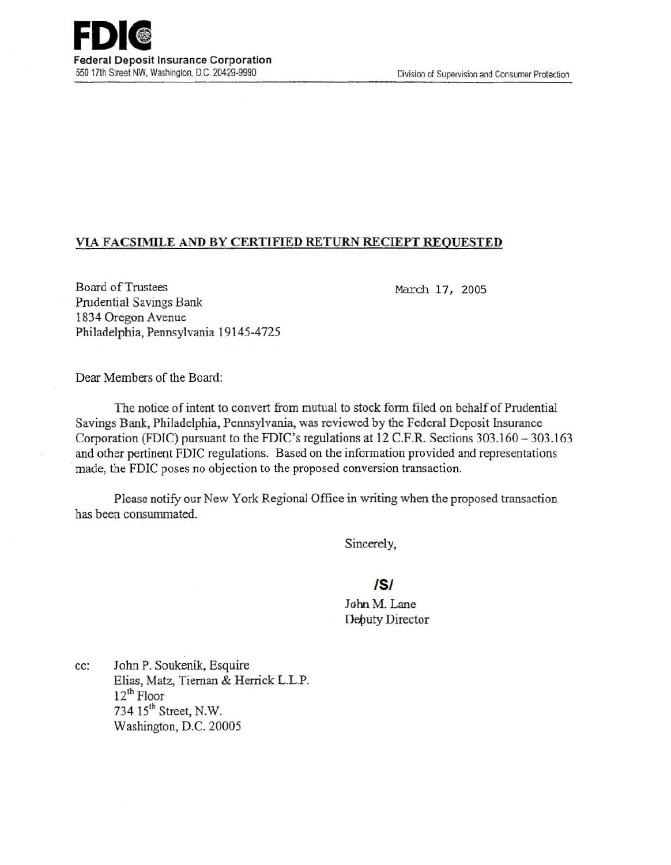

## VIA FACSIMJLE AND BY CERTIFIED RETURN RECIEPT REQUESTED

Board ofTrustees Prudential Savings Bank 1834 Oregon Avenue Philadelphia, Pennsylvania 19145-4725

March 17, 2005

Dear Members of the Board:

The notice of intent to convert from mutual to stock form filed on behalf of Prudential Savings Bank, Philadelphia, Pennsylvania, was reviewed by the Federal Deposit Insurance Corporation (FDIC) pursuant to the FDIC's regulations at 12 C.F.R. Sections 303.160-303.163 and other pertinent FDIC regulations. Based on the information provided and representations made, the FDIC poses no objection to the proposed conversion transaction.

Please notify our New York Regional Office in writing when the proposed transaction has been consummated.

Sincerely,

## /5/

John M. Lane Debuty Director

cc: John P. Soukenik, Esquire Elias, Matz, Tieman & Herrick L.L.P. 12<sup>th</sup> Floor 734 15th Street, N.W. Washington, D.C. 20005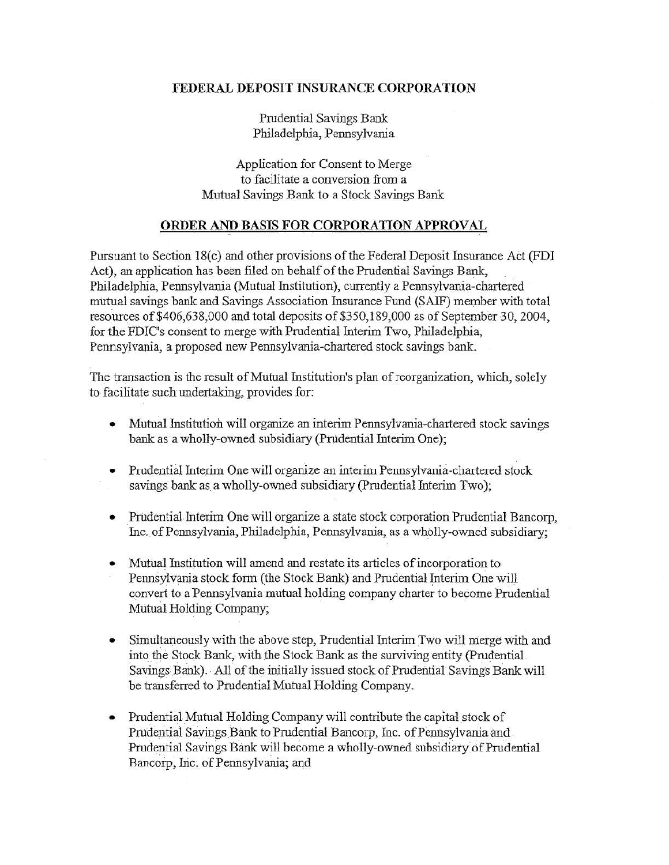## FEDERAL DEPOSIT INSURANCE CORPORATION

Prudential Savings Bank Philadelphia, Pennsylvania

Application for Consent to Merge to facilitate a conversion from a Mutual Savings Bank to a Stock Savings Bank

## ORDER AND BASIS FOR CORPORATION APPROVAL

Pursuant to Section 18(c) and other provisions of the Federal Deposit Insurance Act (FDI Act), an application has been filed on behalf of the Prudential Savings Bank, Philadelphia, Pennsylvania (Mutual Institution), currently a Pennsylvania-chartered mutual savings bank and Savings Association fusurance Fund (SAlF) member with total resources of  $$406,638,000$  and total deposits of  $$350,189,000$  as of September 30, 2004, for the FDIC's consent to merge with Prudential Interim Two, Philadelphia, PennsylVania, a proposed new Pennsylvania-chartered stock savings bank.

The transaction is the result of Mutual Institution's plan of reorganization, which, solely to facilitate such undertaking, provides for:

- Mutual Institution will organize an interim Pennsylvania-chartered stock savings bank as a wholly-owned subsidiary (Prudential Interim One);
- Prudential Interim One will organize an interim Pennsylvania-chartered stock savings bank as a wholly-owned subsidiary (Prudential Interim Two);
- Prudential Interim One will organize a state stock corporation Prudential Bancorp, Inc. of Pennsylvania, Philadelphia, Pennsylvania, as a wholly-owned subsidiary;
- Mutual Institution will amend and restate its articles of incorporation to Pennsylvania stock form (the Stock Bank) and Prudential Interim One will convert to a Pennsylvania mutual holding company charter to become Prudential Mutual Holding Company;
- Simultaneously with the above step, Prudential Interim Two will merge with and into the Stock Bank, with the Stock Bank as the surviving entity (Prudential Savings Bank). All of the initially issued stock of Prudential Savings Bank will be transferred to Prudential Mutual Holding Company.
- Prudential Mutual Holding Company will contribute the capital stock of Prudential Sayings Bank to Prudential Bancorp, Inc. of Pennsylvania and . Prudential Savings Bank will become a wholly-owned subsidiary of Prudential Bancorp, Inc. of Pennsylvania; and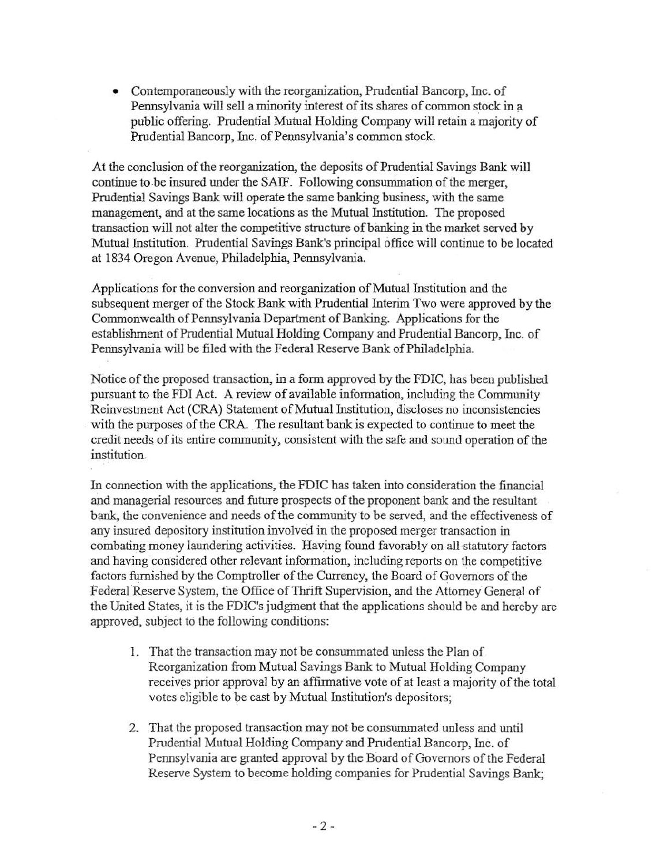• Contemporaneously with the reorganization, Prudential Bancorp, Inc. of Pennsylvania will sell a minority interest of its shares of common stock in a public offering. Prudential Mutual Holding Company will retain a majority of Prudential Bancorp, Inc. of Pennsylvania's common stock.

At the conclusion of the reorganization, the deposits of Prudential Savings Bank will continue to be insured under the SAIF. Following consummation of the merger, Prudential Savings Bank will operate the same banking business, with the same management, and at the same locations as the Mutual Institution. The proposed transaction will not alter the competitive structure of banking in the market served by Mutual Institution. Prudential Savings Bank's principal office will continue to be located at 1834 Oregon Avenue, Philadelphia, Pennsylvania.

Applications for the conversion and reorganization of Mutual Institution and the subsequent merger of the Stock Bank with Prudential Interim Two were approved by the Commonwealth of Pennsylvania Department of Banking. Applications for the establishment of Prudential Mutual Holding Company and Prudential Bancorp, Inc. of Pennsylvania will be filed with the Federal Reserve Bank of Philadelphia.

Notice of the proposed transaction, in a form approved by the FDIC, has been published pursuant to the FDI Act. A review of available information, including the Community Reinvestment Act (CRA) Statement of Mutual Institution, discloses no inconsistencies with the purposes of the CRA. The resultant bank is expected to continue to meet the credit needs of its entire community, consistent with the safe and sound operation of the institution.

In connection with the applications, the FDIC has taken into consideration the financial and managerial resources and future prospects of the proponent bank and the resultant bank, the convenience and needs of the community to be served, and the effectiveness of any insured depository institution involved in the proposed merger transaction in combating money laundering activities. Having found favorably on all statutory factors and having considered other relevant information, including reports on the competitive factors furnished by the Comptroller of the Currency. the Board of Governors of the Federal Reserve System, the Office of Thrift Supervision, and the Attorney General of the United States, it is the FDIC's judgment that the applications should be and hereby are approved, subject to the following conditions:

- 1. That the transaction may not be consummated unless the Plan of Reorganization from Mutual Savings Bank to Mutual Holding Company receives prior approval by an affirmative vote of at least a majority of the total votes eligible to be cast by Mutual Institution's depositors;
- 2. That the proposed transaction may not be consummated unless and until Prudential Mutual Holding Company and Prudential Bancorp, Inc. of Pennsylvania are granted approval by the Board of Governors of the Federal Reserve System to become holding companies for Prudential Savings Bank;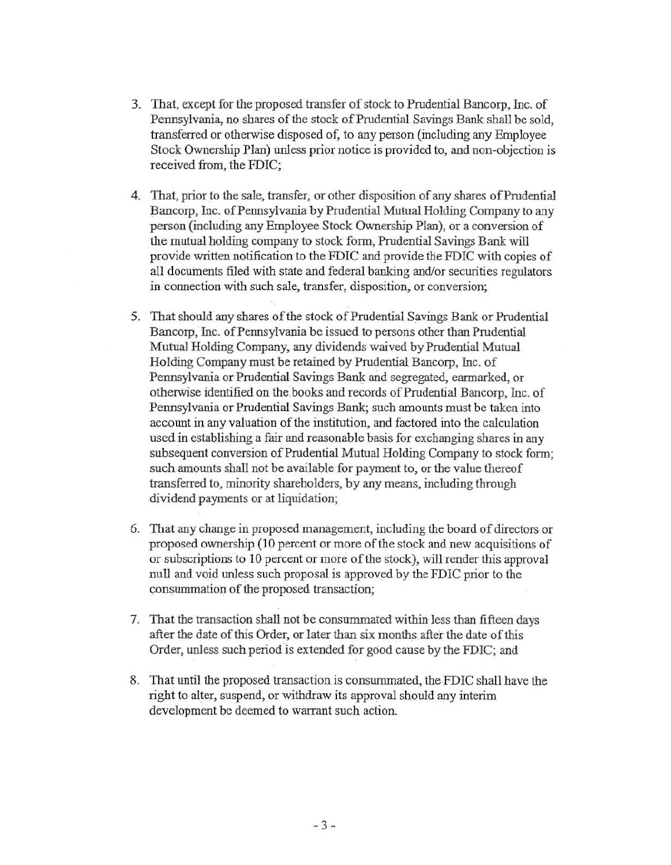- 3. That, except for the proposed transfer of stock to Prudential Bancorp, Inc. of Pennsylvania, no shares of the stock of Prudential Savings Bank shall be sold, transferred or otherwise disposed of, to any person (including any Employee Stock Ownership Plan) unless prior notice is provided to, and non-objection is received from, the FDIC;
- 4. That, prior to the sale, transfer, or other disposition of any shares of Prudential Bancorp, Inc. of Pennsylvania by Prudential Mutual Holding Company to any person (including any Employee Stock Ownership Plan), or a conversion of the mutual holding company to stock form, Prudential Savings Bank will provide written notification to the FDIC and provide the FDIC with copies of all documents filed with state and federal banking and/or securities regulators in connection with such sale, transfer, disposition, or conversion;
- 5. That should any shares of the stock of Prudential Savings Bank or Prudential Bancorp; Inc. of Pennsylvania be issued to persons other than Prudential Mutual Holding Company, any dividends waived by Prudential Mutual Holding·Company must be retained by Prudential Bancorp, Inc. of Pennsylvania or Prudential Savings Bank and segregated, earmarked, or otherwise identified on the books and records of Prudential Bancorp, Inc. of Pennsylvania or Prudential Savings Bank; such amounts must be taken into account in any valuation of the institution, and factored into the calculation used in establishing a fair and reasonable basis for exchanging shares in any subsequent conversion of Prudential Mutual Holding Company to stock form; such amounts shall not be available for payment to, or the value thereof transferred to, minority shareholders, by any means, including through dividend payments or at liquidation;
- 6. That any change in proposed management, including the board of directors or proposed ownership (10 percent or more of the stock and new acquisitions of or subscriptions to 10 percent or more of the stock), will render this approval null and void unless such proposal is approved by the FDIC prior to the consummation of the proposed transaction;
- 7. That the transaction shall not be consummated within less than fifteen days after the date of this Order, or later than six months after the date of this Order, unless such period is extended for good cause by the FDIC; and
- 8. That until the proposed transaction is consummated, the FDIC shall have the right to alter, suspend, or withdraw its approval should any interim development be deemed to warrant such action.